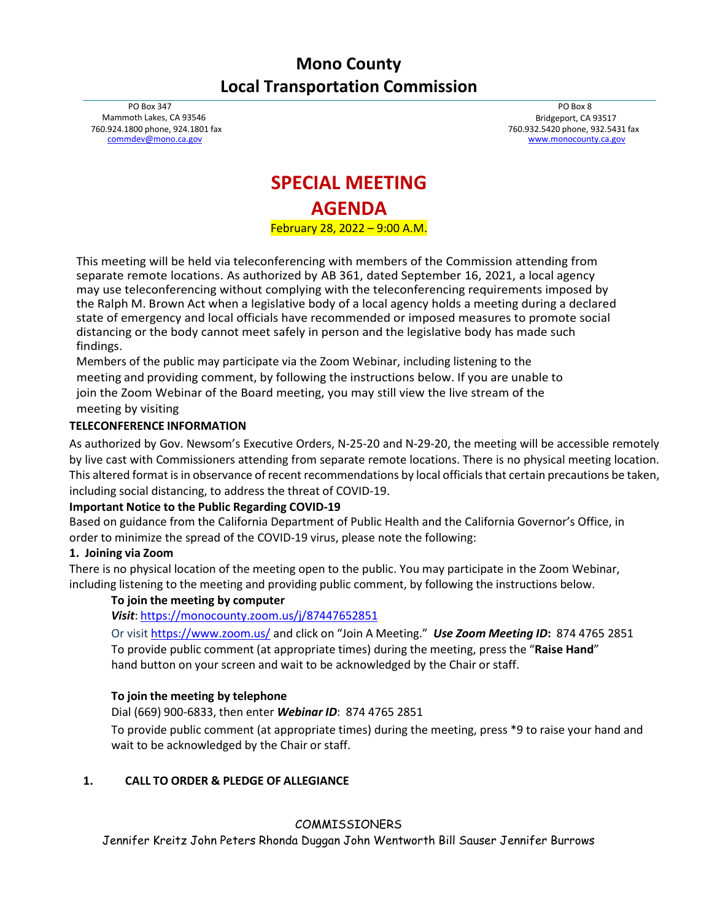## **Mono County Local Transportation Commission**

PO Box 347 Mammoth Lakes, CA 93546 760.924.1800 phone, 924.1801 fax [commdev@mono.ca.gov](mailto:commdev@mono.ca.gov)

PO Box 8 Bridgeport, CA 93517 760.932.5420 phone, 932.5431 fax [www.monocounty.ca.gov](http://www.monocounty.ca.gov/)

# **SPECIAL MEETING AGENDA**

February 28, 2022 – 9:00 A.M.

This meeting will be held via teleconferencing with members of the Commission attending from separate remote locations. As authorized by AB 361, dated September 16, 2021, a local agency may use teleconferencing without complying with the teleconferencing requirements imposed by the Ralph M. Brown Act when a legislative body of a local agency holds a meeting during a declared state of emergency and local officials have recommended or imposed measures to promote social distancing or the body cannot meet safely in person and the legislative body has made such findings.

Members of the public may participate via the Zoom Webinar, including listening to the meeting and providing comment, by following the instructions below. If you are unable to join the Zoom Webinar of the Board meeting, you may still view the live stream of the meeting by visiting

#### **TELECONFERENCE INFORMATION**

As authorized by Gov. Newsom's Executive Orders, N-25-20 and N-29-20, the meeting will be accessible remotely by live cast with Commissioners attending from separate remote locations. There is no physical meeting location. This altered format is in observance of recent recommendations by local officials that certain precautions be taken, including social distancing, to address the threat of COVID-19.

#### **Important Notice to the Public Regarding COVID-19**

Based on guidance from the California Department of Public Health and the California Governor's Office, in order to minimize the spread of the COVID-19 virus, please note the following:

#### **1. Joining via Zoom**

There is no physical location of the meeting open to the public. You may participate in the Zoom Webinar, including listening to the meeting and providing public comment, by following the instructions below.

#### **To join the meeting by computer**

*Visit*: <https://monocounty.zoom.us/j/87447652851>

Or visi[t https://www.zoom.us/](https://www.zoom.us/) and click on "Join A Meeting." *Use Zoom Meeting ID***:** 874 4765 2851 To provide public comment (at appropriate times) during the meeting, press the "**Raise Hand**" hand button on your screen and wait to be acknowledged by the Chair or staff.

#### **To join the meeting by telephone**

## Dial (669) 900-6833, then enter *Webinar ID*: 874 4765 2851

To provide public comment (at appropriate times) during the meeting, press \*9 to raise your hand and wait to be acknowledged by the Chair or staff.

## **1. CALL TO ORDER & PLEDGE OF ALLEGIANCE**

## COMMISSIONERS

Jennifer Kreitz John Peters Rhonda Duggan John Wentworth Bill Sauser Jennifer Burrows